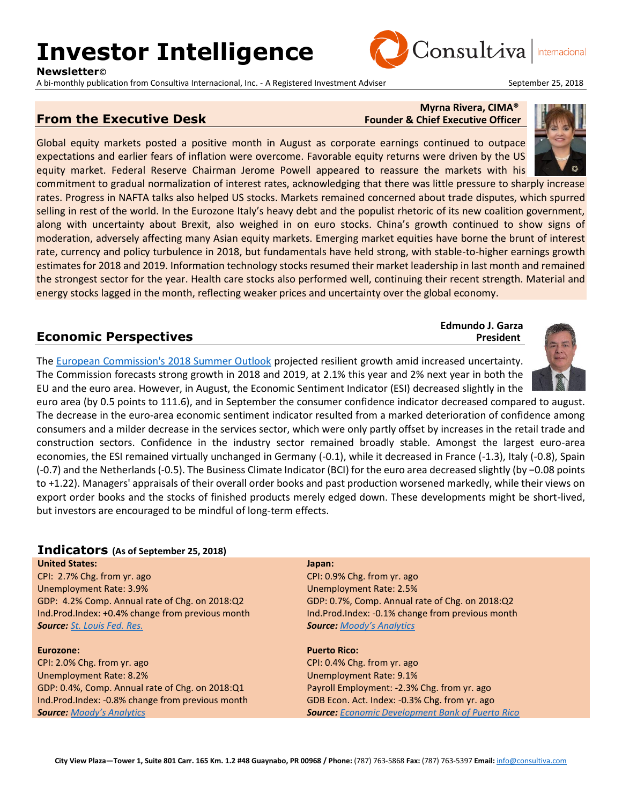# **Investor Intelligence**

**Newsletter**©

A bi-monthly publication from Consultiva Internacional, Inc. - A Registered Investment Adviser September 25, 2018



Internacional

### **From the Executive Desk** Founder & Chief Executive Officer

## **Myrna Rivera, CIMA®**

Consultiva

**Edmundo J. Garza**

Global equity markets posted a positive month in August as corporate earnings continued to outpace expectations and earlier fears of inflation were overcome. Favorable equity returns were driven by the US equity market. Federal Reserve Chairman Jerome Powell appeared to reassure the markets with his

commitment to gradual normalization of interest rates, acknowledging that there was little pressure to sharply increase rates. Progress in NAFTA talks also helped US stocks. Markets remained concerned about trade disputes, which spurred selling in rest of the world. In the Eurozone Italy's heavy debt and the populist rhetoric of its new coalition government, along with uncertainty about Brexit, also weighed in on euro stocks. China's growth continued to show signs of moderation, adversely affecting many Asian equity markets. Emerging market equities have borne the brunt of interest rate, currency and policy turbulence in 2018, but fundamentals have held strong, with stable-to-higher earnings growth estimates for 2018 and 2019. Information technology stocks resumed their market leadership in last month and remained the strongest sector for the year. Health care stocks also performed well, continuing their recent strength. Material and energy stocks lagged in the month, reflecting weaker prices and uncertainty over the global economy.

### **Economic Perspectives** *President*

The [European Commission's 2018 Summer Outlook](https://ec.europa.eu/info/sites/info/files/economy-finance/ecfin_forecast_summer_12_07_18_overview_en_0.pdf) projected resilient growth amid increased uncertainty. The Commission forecasts strong growth in 2018 and 2019, at 2.1% this year and 2% next year in both the EU and the euro area. However, in August, the Economic Sentiment Indicator (ESI) decreased slightly in the

euro area (by 0.5 points to 111.6), and in September the consumer confidence indicator decreased compared to august. The decrease in the euro-area economic sentiment indicator resulted from a marked deterioration of confidence among consumers and a milder decrease in the services sector, which were only partly offset by increases in the retail trade and construction sectors. Confidence in the industry sector remained broadly stable. Amongst the largest euro-area economies, the ESI remained virtually unchanged in Germany (-0.1), while it decreased in France (-1.3), Italy (-0.8), Spain (-0.7) and the Netherlands (-0.5). The Business Climate Indicator (BCI) for the euro area decreased slightly (by −0.08 points to +1.22). Managers' appraisals of their overall order books and past production worsened markedly, while their views on export order books and the stocks of finished products merely edged down. These developments might be short-lived, but investors are encouraged to be mindful of long-term effects.

### **Indicators (As of September 25, 2018)**

**United States:** CPI: 2.7% Chg. from yr. ago Unemployment Rate: 3.9% GDP: 4.2% Comp. Annual rate of Chg. on 2018:Q2 Ind.Prod.Index: +0.4% change from previous month *Source: [St. Louis Fed. Res.](http://research.stlouisfed.org/)*

### **Eurozone:**

CPI: 2.0% Chg. from yr. ago Unemployment Rate: 8.2% GDP: 0.4%, Comp. Annual rate of Chg. on 2018:Q1 Ind.Prod.Index: -0.8% change from previous month *Source: [Moody's Analytics](https://www.economy.com/dismal/)*

### **Japan:**

CPI: 0.9% Chg. from yr. ago Unemployment Rate: 2.5% GDP: 0.7%, Comp. Annual rate of Chg. on 2018:Q2 Ind.Prod.Index: -0.1% change from previous month *Source: [Moody's Analytics](https://www.economy.com/dismal/)*

**Puerto Rico:**

CPI: 0.4% Chg. from yr. ago Unemployment Rate: 9.1% Payroll Employment: -2.3% Chg. from yr. ago GDB Econ. Act. Index: -0.3% Chg. from yr. ago *Source: [Economic Development Bank of Puerto Rico](https://www.bde.pr.gov/BDESite/index.html)*



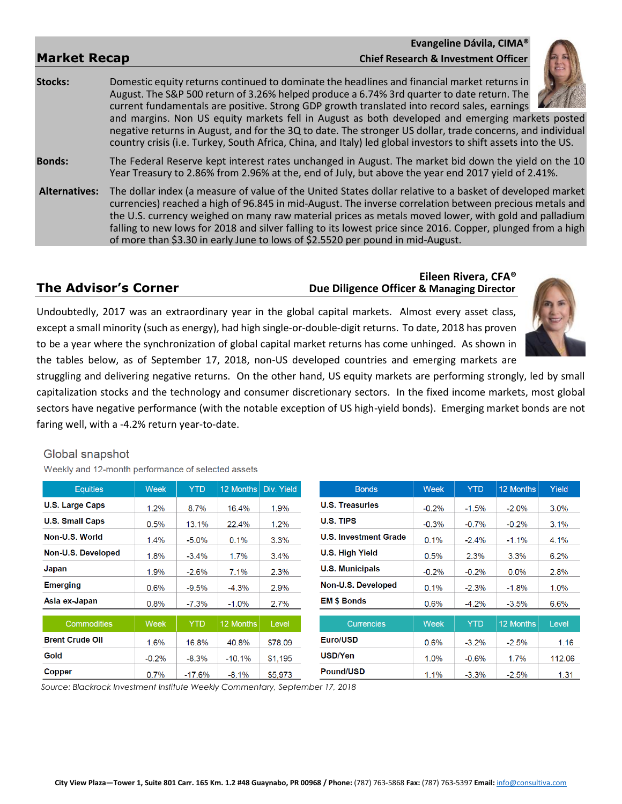### **Evangeline Dávila, CIMA® Market Recap Chief Research & Investment Officer**



**Stocks:** Domestic equity returns continued to dominate the headlines and financial market returns in August. The S&P 500 return of 3.26% helped produce a 6.74% 3rd quarter to date return. The current fundamentals are positive. Strong GDP growth translated into record sales, earnings and margins. Non US equity markets fell in August as both developed and emerging markets posted

negative returns in August, and for the 3Q to date. The stronger US dollar, trade concerns, and individual country crisis (i.e. Turkey, South Africa, China, and Italy) led global investors to shift assets into the US.

**Bonds:** The Federal Reserve kept interest rates unchanged in August. The market bid down the yield on the 10 Year Treasury to 2.86% from 2.96% at the, end of July, but above the year end 2017 yield of 2.41%.

**Alternatives:** The dollar index (a measure of value of the United States dollar relative to a basket of developed market currencies) reached a high of 96.845 in mid-August. The inverse correlation between precious metals and the U.S. currency weighed on many raw material prices as metals moved lower, with gold and palladium falling to new lows for 2018 and silver falling to its lowest price since 2016. Copper, plunged from a high of more than \$3.30 in early June to lows of \$2.5520 per pound in mid-August.

### **Eileen Rivera, CFA® The Advisor's Corner** *Due Diligence Officer* **& Managing Director**



Undoubtedly, 2017 was an extraordinary year in the global capital markets. Almost every asset class, except a small minority (such as energy), had high single-or-double-digit returns. To date, 2018 has proven to be a year where the synchronization of global capital market returns has come unhinged. As shown in the tables below, as of September 17, 2018, non-US developed countries and emerging markets are

struggling and delivering negative returns. On the other hand, US equity markets are performing strongly, led by small capitalization stocks and the technology and consumer discretionary sectors. In the fixed income markets, most global sectors have negative performance (with the notable exception of US high-yield bonds). Emerging market bonds are not faring well, with a -4.2% return year-to-date.

### Global snapshot

Weekly and 12-month performance of selected assets

| <b>Equities</b>        | Week    | <b>YTD</b> | 12 Months | Div. Yield | <b>Bonds</b>                 | <b>Week</b> | <b>YTD</b> | 12 Months        | <b>Yield</b> |
|------------------------|---------|------------|-----------|------------|------------------------------|-------------|------------|------------------|--------------|
| <b>U.S. Large Caps</b> | 1.2%    | 8.7%       | 16.4%     | 1.9%       | <b>U.S. Treasuries</b>       | $-0.2%$     | $-1.5%$    | $-2.0\%$         | 3.0%         |
| <b>U.S. Small Caps</b> | 0.5%    | 13.1%      | 22.4%     | $1.2\%$    | U.S. TIPS                    | $-0.3%$     | $-0.7%$    | $-0.2\%$         | 3.1%         |
| Non-U.S. World         | 1.4%    | $-5.0\%$   | $0.1\%$   | 3.3%       | <b>U.S. Investment Grade</b> | 0.1%        | $-2.4%$    | $-1.1\%$         | 4.1%         |
| Non-U.S. Developed     | 1.8%    | $-3.4%$    | 1.7%      | 3.4%       | U.S. High Yield              | 0.5%        | 2.3%       | 3.3%             | 6.2%         |
| Japan                  | 1.9%    | $-2.6%$    | 7.1%      | 2.3%       | <b>U.S. Municipals</b>       | $-0.2%$     | $-0.2%$    | $0.0\%$          | 2.8%         |
| <b>Emerging</b>        | 0.6%    | $-9.5%$    | $-4.3%$   | 2.9%       | Non-U.S. Developed           | 0.1%        | $-2.3%$    | $-1.8%$          | 1.0%         |
| Asia ex-Japan          | $0.8\%$ | $-7.3\%$   | $-1.0\%$  | 2.7%       | <b>EM \$ Bonds</b>           | $0.6\%$     | $-4.2\%$   | $-3.5\%$         | 6.6%         |
| <b>Commodities</b>     | Week    | <b>YTD</b> | 12 Months | Level      | <b>Currencies</b>            | Week        | <b>YTD</b> | <b>12 Months</b> | Level        |
| <b>Brent Crude Oil</b> | 1.6%    | 16.8%      | 40.8%     | \$78.09    | Euro/USD                     | 0.6%        | $-3.2\%$   | $-2.5%$          | 1.16         |
| Gold                   | $-0.2%$ | $-8.3%$    | $-10.1%$  | \$1,195    | <b>USD/Yen</b>               | 1.0%        | $-0.6%$    | 1.7%             | 112.06       |
| Copper                 | $0.7\%$ | $-17.6%$   | $-8.1%$   | \$5.973    | <b>Pound/USD</b>             | 1.1%        | $-3.3%$    | $-2.5%$          | 1.31         |

 *Source: Blackrock Investment Institute Weekly Commentary, September 17, 2018*